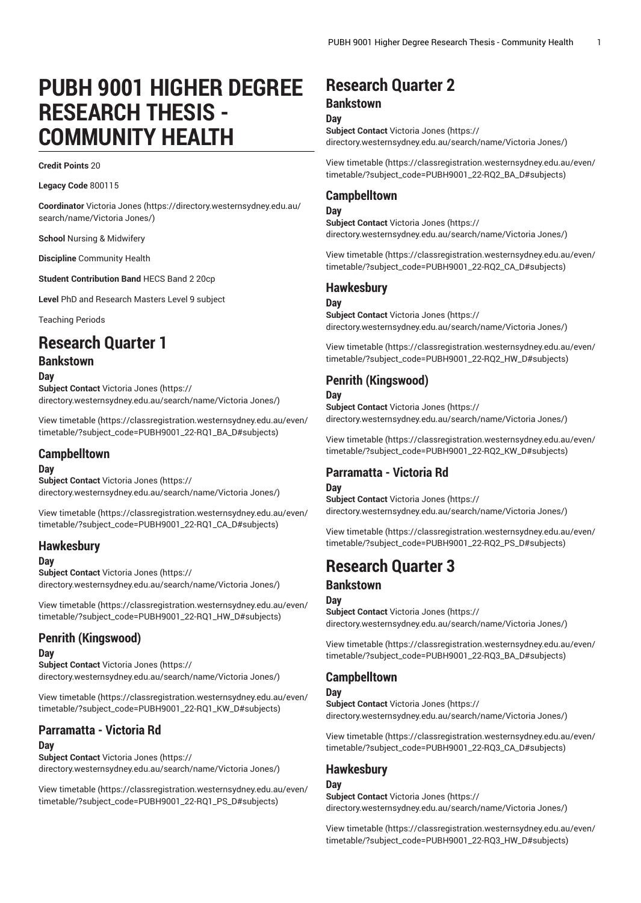# **PUBH 9001 HIGHER DEGREE RESEARCH THESIS - COMMUNITY HEALTH**

#### **Credit Points** 20

**Legacy Code** 800115

**Coordinator** [Victoria Jones](https://directory.westernsydney.edu.au/search/name/Victoria Jones/) ([https://directory.westernsydney.edu.au/](https://directory.westernsydney.edu.au/search/name/Victoria Jones/) [search/name/Victoria](https://directory.westernsydney.edu.au/search/name/Victoria Jones/) Jones/)

**School** Nursing & Midwifery

**Discipline** Community Health

**Student Contribution Band** HECS Band 2 20cp

**Level** PhD and Research Masters Level 9 subject

Teaching Periods

## **Research Quarter 1**

## **Bankstown**

**Day**

**Subject Contact** [Victoria Jones](https://directory.westernsydney.edu.au/search/name/Victoria Jones/) ([https://](https://directory.westernsydney.edu.au/search/name/Victoria Jones/) [directory.westernsydney.edu.au/search/name/Victoria](https://directory.westernsydney.edu.au/search/name/Victoria Jones/) Jones/)

[View timetable](https://classregistration.westernsydney.edu.au/even/timetable/?subject_code=PUBH9001_22-RQ1_BA_D#subjects) ([https://classregistration.westernsydney.edu.au/even/](https://classregistration.westernsydney.edu.au/even/timetable/?subject_code=PUBH9001_22-RQ1_BA_D#subjects) [timetable/?subject\\_code=PUBH9001\\_22-RQ1\\_BA\\_D#subjects](https://classregistration.westernsydney.edu.au/even/timetable/?subject_code=PUBH9001_22-RQ1_BA_D#subjects))

#### **Campbelltown**

#### **Day**

**Subject Contact** [Victoria Jones](https://directory.westernsydney.edu.au/search/name/Victoria Jones/) ([https://](https://directory.westernsydney.edu.au/search/name/Victoria Jones/) [directory.westernsydney.edu.au/search/name/Victoria](https://directory.westernsydney.edu.au/search/name/Victoria Jones/) Jones/)

[View timetable](https://classregistration.westernsydney.edu.au/even/timetable/?subject_code=PUBH9001_22-RQ1_CA_D#subjects) ([https://classregistration.westernsydney.edu.au/even/](https://classregistration.westernsydney.edu.au/even/timetable/?subject_code=PUBH9001_22-RQ1_CA_D#subjects) [timetable/?subject\\_code=PUBH9001\\_22-RQ1\\_CA\\_D#subjects](https://classregistration.westernsydney.edu.au/even/timetable/?subject_code=PUBH9001_22-RQ1_CA_D#subjects))

#### **Hawkesbury**

#### **Day**

**Subject Contact** [Victoria Jones](https://directory.westernsydney.edu.au/search/name/Victoria Jones/) ([https://](https://directory.westernsydney.edu.au/search/name/Victoria Jones/) [directory.westernsydney.edu.au/search/name/Victoria](https://directory.westernsydney.edu.au/search/name/Victoria Jones/) Jones/)

[View timetable](https://classregistration.westernsydney.edu.au/even/timetable/?subject_code=PUBH9001_22-RQ1_HW_D#subjects) ([https://classregistration.westernsydney.edu.au/even/](https://classregistration.westernsydney.edu.au/even/timetable/?subject_code=PUBH9001_22-RQ1_HW_D#subjects) [timetable/?subject\\_code=PUBH9001\\_22-RQ1\\_HW\\_D#subjects\)](https://classregistration.westernsydney.edu.au/even/timetable/?subject_code=PUBH9001_22-RQ1_HW_D#subjects)

## **Penrith (Kingswood)**

#### **Day**

**Subject Contact** [Victoria Jones](https://directory.westernsydney.edu.au/search/name/Victoria Jones/) ([https://](https://directory.westernsydney.edu.au/search/name/Victoria Jones/) [directory.westernsydney.edu.au/search/name/Victoria](https://directory.westernsydney.edu.au/search/name/Victoria Jones/) Jones/)

[View timetable](https://classregistration.westernsydney.edu.au/even/timetable/?subject_code=PUBH9001_22-RQ1_KW_D#subjects) ([https://classregistration.westernsydney.edu.au/even/](https://classregistration.westernsydney.edu.au/even/timetable/?subject_code=PUBH9001_22-RQ1_KW_D#subjects) [timetable/?subject\\_code=PUBH9001\\_22-RQ1\\_KW\\_D#subjects](https://classregistration.westernsydney.edu.au/even/timetable/?subject_code=PUBH9001_22-RQ1_KW_D#subjects))

## **Parramatta - Victoria Rd**

#### **Day**

**Subject Contact** [Victoria Jones](https://directory.westernsydney.edu.au/search/name/Victoria Jones/) ([https://](https://directory.westernsydney.edu.au/search/name/Victoria Jones/) [directory.westernsydney.edu.au/search/name/Victoria](https://directory.westernsydney.edu.au/search/name/Victoria Jones/) Jones/)

[View timetable](https://classregistration.westernsydney.edu.au/even/timetable/?subject_code=PUBH9001_22-RQ1_PS_D#subjects) ([https://classregistration.westernsydney.edu.au/even/](https://classregistration.westernsydney.edu.au/even/timetable/?subject_code=PUBH9001_22-RQ1_PS_D#subjects) [timetable/?subject\\_code=PUBH9001\\_22-RQ1\\_PS\\_D#subjects](https://classregistration.westernsydney.edu.au/even/timetable/?subject_code=PUBH9001_22-RQ1_PS_D#subjects))

## **Research Quarter 2**

#### **Bankstown**

**Day**

**Subject Contact** [Victoria Jones](https://directory.westernsydney.edu.au/search/name/Victoria Jones/) ([https://](https://directory.westernsydney.edu.au/search/name/Victoria Jones/) [directory.westernsydney.edu.au/search/name/Victoria](https://directory.westernsydney.edu.au/search/name/Victoria Jones/) Jones/)

[View timetable](https://classregistration.westernsydney.edu.au/even/timetable/?subject_code=PUBH9001_22-RQ2_BA_D#subjects) [\(https://classregistration.westernsydney.edu.au/even/](https://classregistration.westernsydney.edu.au/even/timetable/?subject_code=PUBH9001_22-RQ2_BA_D#subjects) [timetable/?subject\\_code=PUBH9001\\_22-RQ2\\_BA\\_D#subjects](https://classregistration.westernsydney.edu.au/even/timetable/?subject_code=PUBH9001_22-RQ2_BA_D#subjects))

#### **Campbelltown**

#### **Day**

**Subject Contact** [Victoria Jones](https://directory.westernsydney.edu.au/search/name/Victoria Jones/) ([https://](https://directory.westernsydney.edu.au/search/name/Victoria Jones/) [directory.westernsydney.edu.au/search/name/Victoria](https://directory.westernsydney.edu.au/search/name/Victoria Jones/) Jones/)

[View timetable](https://classregistration.westernsydney.edu.au/even/timetable/?subject_code=PUBH9001_22-RQ2_CA_D#subjects) [\(https://classregistration.westernsydney.edu.au/even/](https://classregistration.westernsydney.edu.au/even/timetable/?subject_code=PUBH9001_22-RQ2_CA_D#subjects) [timetable/?subject\\_code=PUBH9001\\_22-RQ2\\_CA\\_D#subjects](https://classregistration.westernsydney.edu.au/even/timetable/?subject_code=PUBH9001_22-RQ2_CA_D#subjects))

#### **Hawkesbury**

#### **Day**

**Subject Contact** [Victoria Jones](https://directory.westernsydney.edu.au/search/name/Victoria Jones/) ([https://](https://directory.westernsydney.edu.au/search/name/Victoria Jones/) [directory.westernsydney.edu.au/search/name/Victoria](https://directory.westernsydney.edu.au/search/name/Victoria Jones/) Jones/)

[View timetable](https://classregistration.westernsydney.edu.au/even/timetable/?subject_code=PUBH9001_22-RQ2_HW_D#subjects) [\(https://classregistration.westernsydney.edu.au/even/](https://classregistration.westernsydney.edu.au/even/timetable/?subject_code=PUBH9001_22-RQ2_HW_D#subjects) [timetable/?subject\\_code=PUBH9001\\_22-RQ2\\_HW\\_D#subjects\)](https://classregistration.westernsydney.edu.au/even/timetable/?subject_code=PUBH9001_22-RQ2_HW_D#subjects)

#### **Penrith (Kingswood)**

#### **Day**

**Subject Contact** [Victoria Jones](https://directory.westernsydney.edu.au/search/name/Victoria Jones/) ([https://](https://directory.westernsydney.edu.au/search/name/Victoria Jones/) [directory.westernsydney.edu.au/search/name/Victoria](https://directory.westernsydney.edu.au/search/name/Victoria Jones/) Jones/)

[View timetable](https://classregistration.westernsydney.edu.au/even/timetable/?subject_code=PUBH9001_22-RQ2_KW_D#subjects) [\(https://classregistration.westernsydney.edu.au/even/](https://classregistration.westernsydney.edu.au/even/timetable/?subject_code=PUBH9001_22-RQ2_KW_D#subjects) [timetable/?subject\\_code=PUBH9001\\_22-RQ2\\_KW\\_D#subjects](https://classregistration.westernsydney.edu.au/even/timetable/?subject_code=PUBH9001_22-RQ2_KW_D#subjects))

## **Parramatta - Victoria Rd**

## **Day**

**Subject Contact** [Victoria Jones](https://directory.westernsydney.edu.au/search/name/Victoria Jones/) ([https://](https://directory.westernsydney.edu.au/search/name/Victoria Jones/) [directory.westernsydney.edu.au/search/name/Victoria](https://directory.westernsydney.edu.au/search/name/Victoria Jones/) Jones/)

[View timetable](https://classregistration.westernsydney.edu.au/even/timetable/?subject_code=PUBH9001_22-RQ2_PS_D#subjects) [\(https://classregistration.westernsydney.edu.au/even/](https://classregistration.westernsydney.edu.au/even/timetable/?subject_code=PUBH9001_22-RQ2_PS_D#subjects) [timetable/?subject\\_code=PUBH9001\\_22-RQ2\\_PS\\_D#subjects](https://classregistration.westernsydney.edu.au/even/timetable/?subject_code=PUBH9001_22-RQ2_PS_D#subjects))

## **Research Quarter 3**

#### **Bankstown**

#### **Day**

**Subject Contact** [Victoria Jones](https://directory.westernsydney.edu.au/search/name/Victoria Jones/) ([https://](https://directory.westernsydney.edu.au/search/name/Victoria Jones/) [directory.westernsydney.edu.au/search/name/Victoria](https://directory.westernsydney.edu.au/search/name/Victoria Jones/) Jones/)

[View timetable](https://classregistration.westernsydney.edu.au/even/timetable/?subject_code=PUBH9001_22-RQ3_BA_D#subjects) [\(https://classregistration.westernsydney.edu.au/even/](https://classregistration.westernsydney.edu.au/even/timetable/?subject_code=PUBH9001_22-RQ3_BA_D#subjects) [timetable/?subject\\_code=PUBH9001\\_22-RQ3\\_BA\\_D#subjects](https://classregistration.westernsydney.edu.au/even/timetable/?subject_code=PUBH9001_22-RQ3_BA_D#subjects))

## **Campbelltown**

#### **Day**

**Subject Contact** [Victoria Jones](https://directory.westernsydney.edu.au/search/name/Victoria Jones/) ([https://](https://directory.westernsydney.edu.au/search/name/Victoria Jones/) [directory.westernsydney.edu.au/search/name/Victoria](https://directory.westernsydney.edu.au/search/name/Victoria Jones/) Jones/)

[View timetable](https://classregistration.westernsydney.edu.au/even/timetable/?subject_code=PUBH9001_22-RQ3_CA_D#subjects) [\(https://classregistration.westernsydney.edu.au/even/](https://classregistration.westernsydney.edu.au/even/timetable/?subject_code=PUBH9001_22-RQ3_CA_D#subjects) [timetable/?subject\\_code=PUBH9001\\_22-RQ3\\_CA\\_D#subjects](https://classregistration.westernsydney.edu.au/even/timetable/?subject_code=PUBH9001_22-RQ3_CA_D#subjects))

## **Hawkesbury**

**Day Subject Contact** [Victoria Jones](https://directory.westernsydney.edu.au/search/name/Victoria Jones/) ([https://](https://directory.westernsydney.edu.au/search/name/Victoria Jones/) [directory.westernsydney.edu.au/search/name/Victoria](https://directory.westernsydney.edu.au/search/name/Victoria Jones/) Jones/)

[View timetable](https://classregistration.westernsydney.edu.au/even/timetable/?subject_code=PUBH9001_22-RQ3_HW_D#subjects) [\(https://classregistration.westernsydney.edu.au/even/](https://classregistration.westernsydney.edu.au/even/timetable/?subject_code=PUBH9001_22-RQ3_HW_D#subjects) [timetable/?subject\\_code=PUBH9001\\_22-RQ3\\_HW\\_D#subjects\)](https://classregistration.westernsydney.edu.au/even/timetable/?subject_code=PUBH9001_22-RQ3_HW_D#subjects)